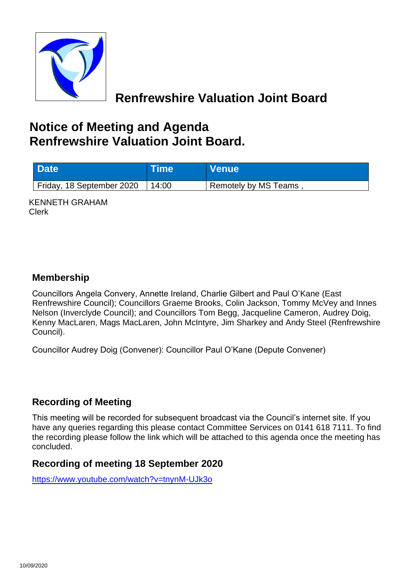

# **Renfrewshire Valuation Joint Board**

# **Notice of Meeting and Agenda Renfrewshire Valuation Joint Board.**

| <b>Date</b>               | <b>Time</b> | <b>Venue</b>         |
|---------------------------|-------------|----------------------|
| Friday, 18 September 2020 | 14:00       | Remotely by MS Teams |

KENNETH GRAHAM Clerk

#### **Membership**

Councillors Angela Convery, Annette Ireland, Charlie Gilbert and Paul O'Kane (East Renfrewshire Council); Councillors Graeme Brooks, Colin Jackson, Tommy McVey and Innes Nelson (Inverclyde Council); and Councillors Tom Begg, Jacqueline Cameron, Audrey Doig, Kenny MacLaren, Mags MacLaren, John McIntyre, Jim Sharkey and Andy Steel (Renfrewshire Council).

Councillor Audrey Doig (Convener): Councillor Paul O'Kane (Depute Convener)

#### **Recording of Meeting**

This meeting will be recorded for subsequent broadcast via the Council's internet site. If you have any queries regarding this please contact Committee Services on 0141 618 7111. To find the recording please follow the link which will be attached to this agenda once the meeting has concluded.

#### **Recording of meeting 18 September 2020**

<https://www.youtube.com/watch?v=tnynM-UJk3o>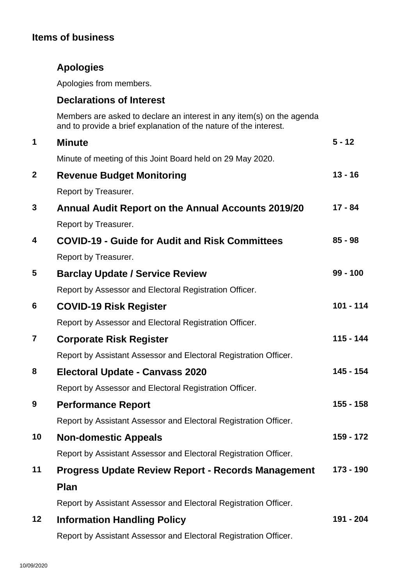### **Items of business**

## **Apologies**

Apologies from members.

#### **Declarations of Interest**

Members are asked to declare an interest in any item(s) on the agenda and to provide a brief explanation of the nature of the interest.

| 1                       | <b>Minute</b>                                                    | $5 - 12$   |
|-------------------------|------------------------------------------------------------------|------------|
|                         | Minute of meeting of this Joint Board held on 29 May 2020.       |            |
| $\mathbf{2}$            | <b>Revenue Budget Monitoring</b>                                 | $13 - 16$  |
|                         | Report by Treasurer.                                             |            |
| 3                       | <b>Annual Audit Report on the Annual Accounts 2019/20</b>        | $17 - 84$  |
|                         | Report by Treasurer.                                             |            |
| 4                       | <b>COVID-19 - Guide for Audit and Risk Committees</b>            | $85 - 98$  |
|                         | Report by Treasurer.                                             |            |
| 5                       | <b>Barclay Update / Service Review</b>                           | $99 - 100$ |
|                         | Report by Assessor and Electoral Registration Officer.           |            |
| 6                       | <b>COVID-19 Risk Register</b>                                    | 101 - 114  |
|                         | Report by Assessor and Electoral Registration Officer.           |            |
| $\overline{\mathbf{r}}$ | <b>Corporate Risk Register</b>                                   | 115 - 144  |
|                         | Report by Assistant Assessor and Electoral Registration Officer. |            |
| 8                       | <b>Electoral Update - Canvass 2020</b>                           | 145 - 154  |
|                         | Report by Assessor and Electoral Registration Officer.           |            |
| 9                       | <b>Performance Report</b>                                        | 155 - 158  |
|                         | Report by Assistant Assessor and Electoral Registration Officer. |            |
| 10                      | <b>Non-domestic Appeals</b>                                      | 159 - 172  |
|                         | Report by Assistant Assessor and Electoral Registration Officer. |            |
| 11                      | <b>Progress Update Review Report - Records Management</b>        | 173 - 190  |
|                         | <b>Plan</b>                                                      |            |
|                         | Report by Assistant Assessor and Electoral Registration Officer. |            |
| 12                      | <b>Information Handling Policy</b>                               | 191 - 204  |
|                         | Report by Assistant Assessor and Electoral Registration Officer. |            |